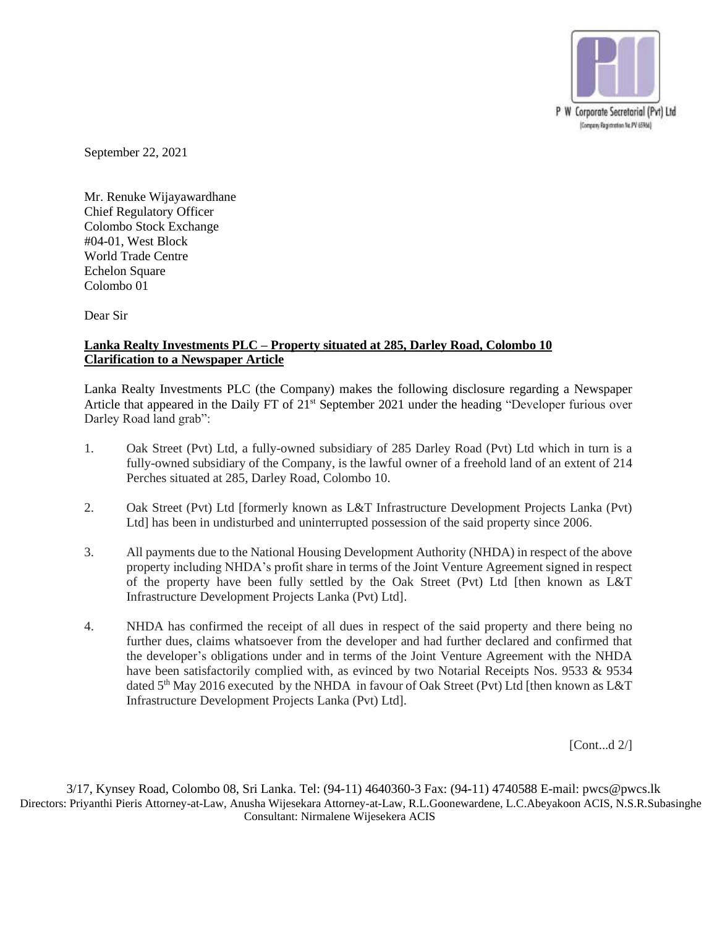

September 22, 2021

Mr. Renuke Wijayawardhane Chief Regulatory Officer Colombo Stock Exchange #04-01, West Block World Trade Centre Echelon Square Colombo 01

Dear Sir

## **Lanka Realty Investments PLC – Property situated at 285, Darley Road, Colombo 10 Clarification to a Newspaper Article**

Lanka Realty Investments PLC (the Company) makes the following disclosure regarding a Newspaper Article that appeared in the Daily FT of 21<sup>st</sup> September 2021 under the heading "Developer furious over Darley Road land grab":

- 1. Oak Street (Pvt) Ltd, a fully-owned subsidiary of 285 Darley Road (Pvt) Ltd which in turn is a fully-owned subsidiary of the Company, is the lawful owner of a freehold land of an extent of 214 Perches situated at 285, Darley Road, Colombo 10.
- 2. Oak Street (Pvt) Ltd [formerly known as L&T Infrastructure Development Projects Lanka (Pvt) Ltd] has been in undisturbed and uninterrupted possession of the said property since 2006.
- 3. All payments due to the National Housing Development Authority (NHDA) in respect of the above property including NHDA's profit share in terms of the Joint Venture Agreement signed in respect of the property have been fully settled by the Oak Street (Pvt) Ltd [then known as L&T Infrastructure Development Projects Lanka (Pvt) Ltd].
- 4. NHDA has confirmed the receipt of all dues in respect of the said property and there being no further dues, claims whatsoever from the developer and had further declared and confirmed that the developer's obligations under and in terms of the Joint Venture Agreement with the NHDA have been satisfactorily complied with, as evinced by two Notarial Receipts Nos. 9533 & 9534 dated  $5<sup>th</sup>$  May 2016 executed by the NHDA in favour of Oak Street (Pvt) Ltd [then known as L&T Infrastructure Development Projects Lanka (Pvt) Ltd].

[Cont...d 2/]

3/17, Kynsey Road, Colombo 08, Sri Lanka. [Tel: \(94-11\)](mailto:Tel:%20(94-11)) 4640360-3 Fax: (94-11) 4740588 E-mail: pwcs@pwcs.lk Directors: Priyanthi Pieris Attorney-at-Law, Anusha Wijesekara Attorney-at-Law, R.L.Goonewardene, L.C.Abeyakoon ACIS, N.S.R.Subasinghe Consultant: Nirmalene Wijesekera ACIS